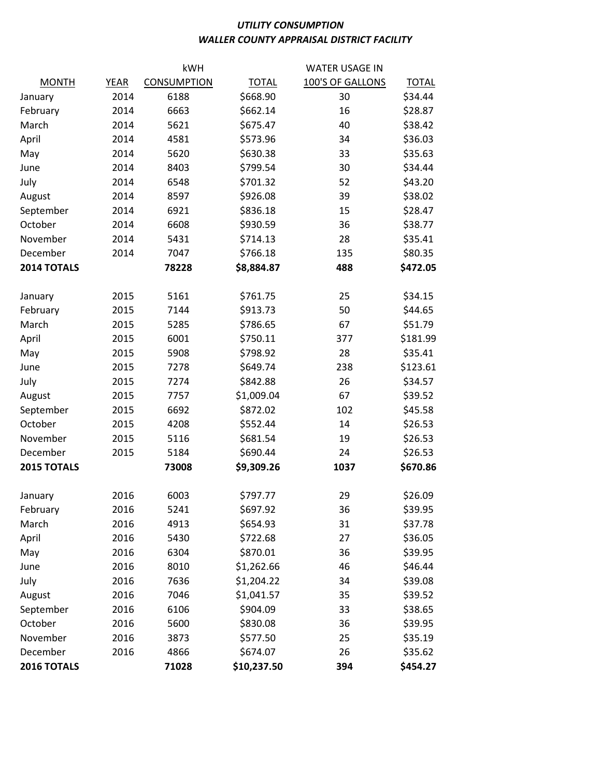## UTILITY CONSUMPTION WALLER COUNTY APPRAISAL DISTRICT FACILITY

|              |             | kWH                |              | <b>WATER USAGE IN</b> |              |  |
|--------------|-------------|--------------------|--------------|-----------------------|--------------|--|
| <b>MONTH</b> | <b>YEAR</b> | <b>CONSUMPTION</b> | <b>TOTAL</b> | 100'S OF GALLONS      | <b>TOTAL</b> |  |
| January      | 2014        | 6188               | \$668.90     | 30                    | \$34.44      |  |
| February     | 2014        | 6663               | \$662.14     | 16                    | \$28.87      |  |
| March        | 2014        | 5621               | \$675.47     | 40                    | \$38.42      |  |
| April        | 2014        | 4581               | \$573.96     | 34                    | \$36.03      |  |
| May          | 2014        | 5620               | \$630.38     | 33                    | \$35.63      |  |
| June         | 2014        | 8403               | \$799.54     | 30                    | \$34.44      |  |
| July         | 2014        | 6548               | \$701.32     | 52                    | \$43.20      |  |
| August       | 2014        | 8597               | \$926.08     | 39                    | \$38.02      |  |
| September    | 2014        | 6921               | \$836.18     | 15                    | \$28.47      |  |
| October      | 2014        | 6608               | \$930.59     | 36                    | \$38.77      |  |
| November     | 2014        | 5431               | \$714.13     | 28                    | \$35.41      |  |
| December     | 2014        | 7047               | \$766.18     | 135                   | \$80.35      |  |
| 2014 TOTALS  |             | 78228              | \$8,884.87   | 488                   | \$472.05     |  |
| January      | 2015        | 5161               | \$761.75     | 25                    | \$34.15      |  |
| February     | 2015        | 7144               | \$913.73     | 50                    | \$44.65      |  |
| March        | 2015        | 5285               | \$786.65     | 67                    | \$51.79      |  |
| April        | 2015        | 6001               | \$750.11     | 377                   | \$181.99     |  |
| May          | 2015        | 5908               | \$798.92     | 28                    | \$35.41      |  |
| June         | 2015        | 7278               | \$649.74     | 238                   | \$123.61     |  |
| July         | 2015        | 7274               | \$842.88     | 26                    | \$34.57      |  |
| August       | 2015        | 7757               | \$1,009.04   | 67                    | \$39.52      |  |
| September    | 2015        | 6692               | \$872.02     | 102                   | \$45.58      |  |
| October      | 2015        | 4208               | \$552.44     | 14                    | \$26.53      |  |
| November     | 2015        | 5116               | \$681.54     | 19                    | \$26.53      |  |
| December     | 2015        | 5184               | \$690.44     | 24                    | \$26.53      |  |
| 2015 TOTALS  |             | 73008              | \$9,309.26   | 1037                  | \$670.86     |  |
| January      | 2016        | 6003               | \$797.77     | 29                    | \$26.09      |  |
| February     | 2016        | 5241               | \$697.92     | 36                    | \$39.95      |  |
| March        | 2016        | 4913               | \$654.93     | 31                    | \$37.78      |  |
| April        | 2016        | 5430               | \$722.68     | 27                    | \$36.05      |  |
| May          | 2016        | 6304               | \$870.01     | 36                    | \$39.95      |  |
| June         | 2016        | 8010               | \$1,262.66   | 46                    | \$46.44      |  |
| July         | 2016        | 7636               | \$1,204.22   | 34                    | \$39.08      |  |
| August       | 2016        | 7046               | \$1,041.57   | 35                    | \$39.52      |  |
| September    | 2016        | 6106               | \$904.09     | 33                    | \$38.65      |  |
| October      | 2016        | 5600               | \$830.08     | 36                    | \$39.95      |  |
| November     | 2016        | 3873               | \$577.50     | 25                    | \$35.19      |  |
| December     | 2016        | 4866               | \$674.07     | 26                    | \$35.62      |  |
| 2016 TOTALS  |             | 71028              | \$10,237.50  | 394                   | \$454.27     |  |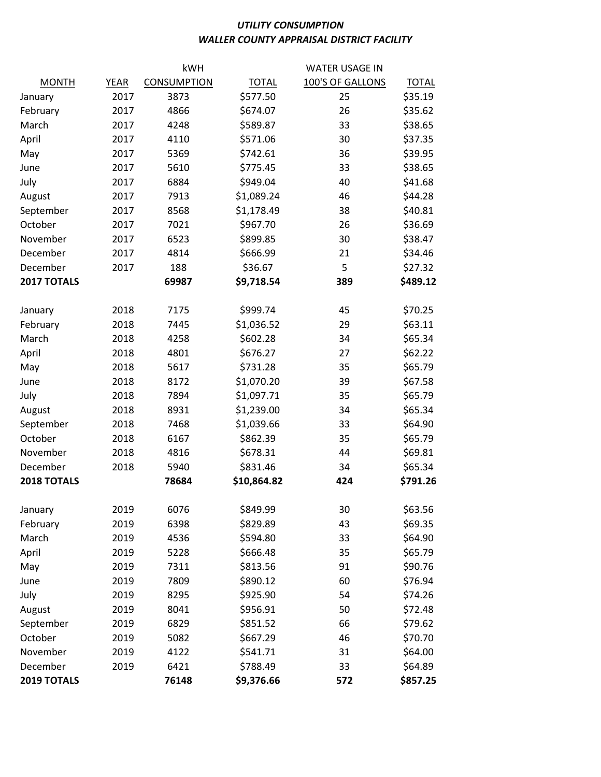## UTILITY CONSUMPTION WALLER COUNTY APPRAISAL DISTRICT FACILITY

| kWH                     |              |                    |                         | <b>WATER USAGE IN</b> |                     |  |
|-------------------------|--------------|--------------------|-------------------------|-----------------------|---------------------|--|
| <b>MONTH</b>            | <b>YEAR</b>  | <b>CONSUMPTION</b> | <b>TOTAL</b>            | 100'S OF GALLONS      | <b>TOTAL</b>        |  |
| January                 | 2017         | 3873               | \$577.50                | 25                    | \$35.19             |  |
| February                | 2017         | 4866               | \$674.07                | 26                    | \$35.62             |  |
| March                   | 2017         | 4248               | \$589.87                | 33                    | \$38.65             |  |
| April                   | 2017         | 4110               | \$571.06                | 30                    | \$37.35             |  |
| May                     | 2017         | 5369               | \$742.61                | 36                    | \$39.95             |  |
| June                    | 2017         | 5610               | \$775.45                | 33                    | \$38.65             |  |
| July                    | 2017         | 6884               | \$949.04                | 40                    | \$41.68             |  |
| August                  | 2017         | 7913               | \$1,089.24              | 46                    | \$44.28             |  |
| September               | 2017         | 8568               | \$1,178.49              | 38                    | \$40.81             |  |
| October                 | 2017         | 7021               | \$967.70                | 26                    | \$36.69             |  |
| November                | 2017         | 6523               | \$899.85                | 30                    | \$38.47             |  |
| December                | 2017         | 4814               | \$666.99                | 21                    | \$34.46             |  |
| December                | 2017         | 188<br>\$36.67     |                         | 5                     | \$27.32             |  |
| 2017 TOTALS             |              | 69987              | \$9,718.54              | 389                   | \$489.12            |  |
| January                 | 2018         | 7175               | \$999.74                | 45                    | \$70.25             |  |
| February                | 2018         | 7445               | \$1,036.52              | 29                    | \$63.11             |  |
| March                   | 2018         | 4258               | \$602.28                | 34                    | \$65.34             |  |
| April                   | 2018         | 4801               | \$676.27                | 27                    | \$62.22             |  |
|                         | 2018         | 5617               | \$731.28                | 35                    | \$65.79             |  |
| May                     | 2018         | 8172               |                         | 39                    | \$67.58             |  |
| June                    | 2018         | 7894               | \$1,070.20              | 35                    | \$65.79             |  |
| July                    | 2018         | 8931               | \$1,097.71              |                       |                     |  |
| August                  | 2018         | 7468               | \$1,239.00              | 34<br>33              | \$65.34<br>\$64.90  |  |
| September               |              |                    | \$1,039.66              |                       |                     |  |
| October<br>November     | 2018<br>2018 | 6167<br>4816       | \$862.39                | 35<br>44              | \$65.79<br>\$69.81  |  |
|                         |              | 5940               | \$678.31                |                       |                     |  |
| December<br>2018 TOTALS | 2018         | 78684              | \$831.46<br>\$10,864.82 | 34<br>424             | \$65.34<br>\$791.26 |  |
|                         |              |                    |                         |                       |                     |  |
| January                 | 2019         | 6076               | \$849.99                | 30                    | \$63.56             |  |
| February                | 2019         | 6398               | \$829.89                | 43                    | \$69.35             |  |
| March                   | 2019         | 4536               | \$594.80                | 33                    | \$64.90             |  |
| April                   | 2019         | 5228               | \$666.48                | 35                    | \$65.79             |  |
| May                     | 2019         | 7311               | \$813.56                | 91                    | \$90.76             |  |
| June                    | 2019         | 7809               | \$890.12                | 60                    | \$76.94             |  |
| July                    | 2019         | 8295               | \$925.90                | 54                    | \$74.26             |  |
| August                  | 2019         | 8041               | \$956.91                | 50                    | \$72.48             |  |
| September               | 2019         | 6829               | \$851.52                | 66                    | \$79.62             |  |
| October                 | 2019         | 5082               | \$667.29                | 46                    | \$70.70             |  |
| November                | 2019         | 4122               | \$541.71                | 31                    | \$64.00             |  |
| December                | 2019         | 6421               | \$788.49                | 33                    | \$64.89             |  |
| 2019 TOTALS<br>76148    |              |                    | \$9,376.66              | 572                   | \$857.25            |  |